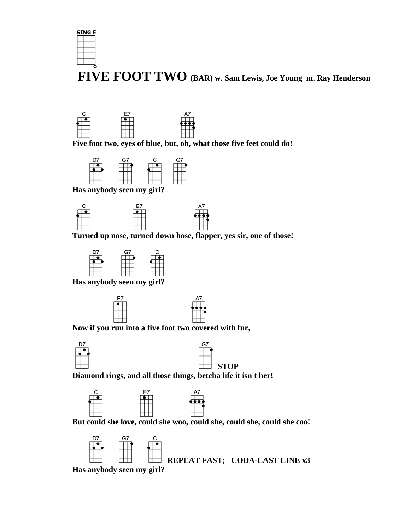

## **FIVE FOOT TWO (BAR) w. Sam Lewis, Joe Young m. Ray Henderson**



 **Five foot two, eyes of blue, but, oh, what those five feet could do!** 



 **Has anybody seen my girl?** 



 **Turned up nose, turned down hose, flapper, yes sir, one of those!** 



 **Has anybody seen my girl?** 



 **Now if you run into a five foot two covered with fur,** 





**Diamond rings, and all those things, betcha life it isn't her!** 



 **But could she love, could she woo, could she, could she, could she coo!** 



**Has anybody seen my girl?**